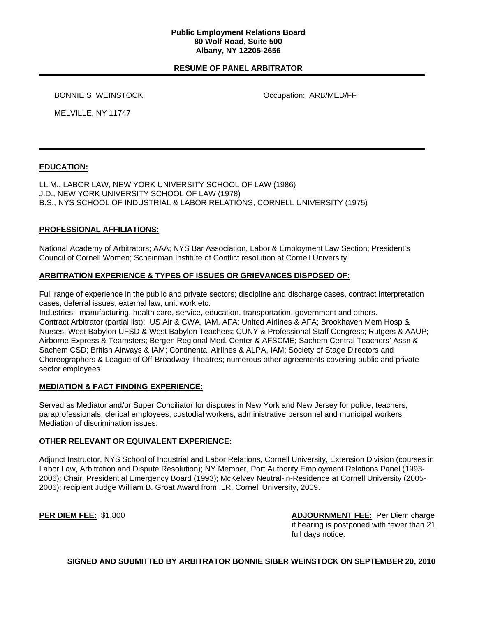### **Public Employment Relations Board 80 Wolf Road, Suite 500 Albany, NY 12205-2656**

## **RESUME OF PANEL ARBITRATOR**

BONNIE S WEINSTOCK **Occupation: ARB/MED/FF** 

MELVILLE, NY 11747

# **EDUCATION:**

LL.M., LABOR LAW, NEW YORK UNIVERSITY SCHOOL OF LAW (1986) J.D., NEW YORK UNIVERSITY SCHOOL OF LAW (1978) B.S., NYS SCHOOL OF INDUSTRIAL & LABOR RELATIONS, CORNELL UNIVERSITY (1975)

## **PROFESSIONAL AFFILIATIONS:**

National Academy of Arbitrators; AAA; NYS Bar Association, Labor & Employment Law Section; President's Council of Cornell Women; Scheinman Institute of Conflict resolution at Cornell University.

## **ARBITRATION EXPERIENCE & TYPES OF ISSUES OR GRIEVANCES DISPOSED OF:**

Full range of experience in the public and private sectors; discipline and discharge cases, contract interpretation cases, deferral issues, external law, unit work etc.

Industries: manufacturing, health care, service, education, transportation, government and others. Contract Arbitrator (partial list): US Air & CWA, IAM, AFA; United Airlines & AFA; Brookhaven Mem Hosp & Nurses; West Babylon UFSD & West Babylon Teachers; CUNY & Professional Staff Congress; Rutgers & AAUP; Airborne Express & Teamsters; Bergen Regional Med. Center & AFSCME; Sachem Central Teachers' Assn & Sachem CSD; British Airways & IAM; Continental Airlines & ALPA, IAM; Society of Stage Directors and Choreographers & League of Off-Broadway Theatres; numerous other agreements covering public and private sector employees.

### **MEDIATION & FACT FINDING EXPERIENCE:**

Served as Mediator and/or Super Conciliator for disputes in New York and New Jersey for police, teachers, paraprofessionals, clerical employees, custodial workers, administrative personnel and municipal workers. Mediation of discrimination issues.

### **OTHER RELEVANT OR EQUIVALENT EXPERIENCE:**

Adjunct Instructor, NYS School of Industrial and Labor Relations, Cornell University, Extension Division (courses in Labor Law, Arbitration and Dispute Resolution); NY Member, Port Authority Employment Relations Panel (1993- 2006); Chair, Presidential Emergency Board (1993); McKelvey Neutral-in-Residence at Cornell University (2005- 2006); recipient Judge William B. Groat Award from ILR, Cornell University, 2009.

**PER DIEM FEE:** \$1,800 **ADJOURNMENT FEE:** Per Diem charge if hearing is postponed with fewer than 21 full days notice.

**SIGNED AND SUBMITTED BY ARBITRATOR BONNIE SIBER WEINSTOCK ON SEPTEMBER 20, 2010**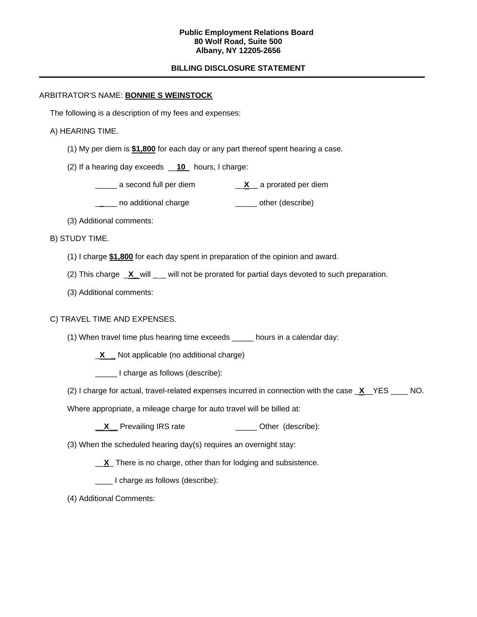### **Public Employment Relations Board 80 Wolf Road, Suite 500 Albany, NY 12205-2656**

# **BILLING DISCLOSURE STATEMENT**

## ARBITRATOR'S NAME: **BONNIE S WEINSTOCK**

The following is a description of my fees and expenses:

## A) HEARING TIME.

- (1) My per diem is **\$1,800** for each day or any part thereof spent hearing a case.
- (2) If a hearing day exceeds \_\_**10** hours, I charge:
	- \_\_\_\_\_ a second full per diem \_\_**X**\_\_ a prorated per diem
	- \_\_\_\_ no additional charge \_\_\_\_\_\_\_ other (describe)
- (3) Additional comments:
- B) STUDY TIME.
	- (1) I charge **\$1,800** for each day spent in preparation of the opinion and award.
	- (2) This charge **X** will will not be prorated for partial days devoted to such preparation.
	- (3) Additional comments:

## C) TRAVEL TIME AND EXPENSES.

- (1) When travel time plus hearing time exceeds \_\_\_\_\_ hours in a calendar day:
	- \_**X \_** Not applicable (no additional charge)
	- \_\_\_\_\_ I charge as follows (describe):
- (2) I charge for actual, travel-related expenses incurred in connection with the case \_**X**\_\_YES \_\_\_\_ NO.
- Where appropriate, a mileage charge for auto travel will be billed at:
	- **\_\_X** Prevailing IRS rate \_\_\_\_\_\_\_\_\_\_\_\_\_\_ Other (describe):
- (3) When the scheduled hearing day(s) requires an overnight stay:
	- \_\_**X**\_ There is no charge, other than for lodging and subsistence.
	- I charge as follows (describe):
- (4) Additional Comments: